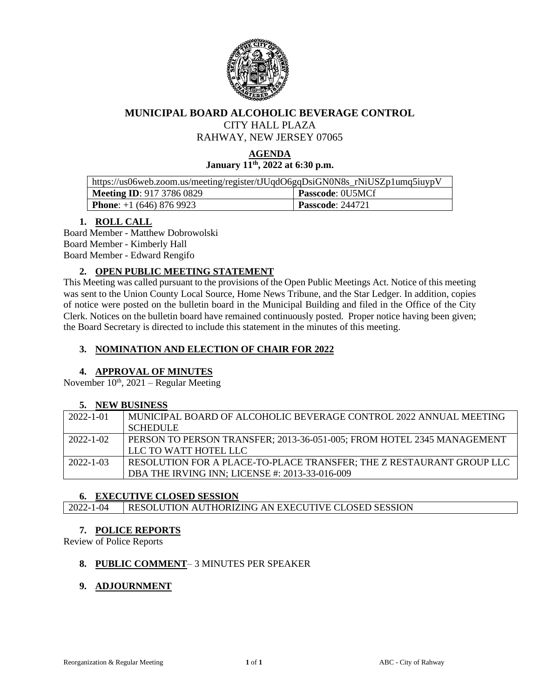

### **MUNICIPAL BOARD ALCOHOLIC BEVERAGE CONTROL**

CITY HALL PLAZA

RAHWAY, NEW JERSEY 07065

### **AGENDA January 11th, 2022 at 6:30 p.m.**

| https://us06web.zoom.us/meeting/register/tJUqdO6gqDsiGN0N8s_rNiUSZp1umq5iuypV |                         |  |
|-------------------------------------------------------------------------------|-------------------------|--|
| Meeting ID: $917\,3786\,0829$                                                 | <b>Passcode: 0U5MCf</b> |  |
| <b>Phone:</b> $+1(646)8769923$                                                | <b>Passcode: 244721</b> |  |

### **1. ROLL CALL**

Board Member - Matthew Dobrowolski Board Member - Kimberly Hall Board Member - Edward Rengifo

### **2. OPEN PUBLIC MEETING STATEMENT**

This Meeting was called pursuant to the provisions of the Open Public Meetings Act. Notice of this meeting was sent to the Union County Local Source, Home News Tribune, and the Star Ledger. In addition, copies of notice were posted on the bulletin board in the Municipal Building and filed in the Office of the City Clerk. Notices on the bulletin board have remained continuously posted. Proper notice having been given; the Board Secretary is directed to include this statement in the minutes of this meeting.

## **3. NOMINATION AND ELECTION OF CHAIR FOR 2022**

#### **4. APPROVAL OF MINUTES**

November  $10^{th}$ , 2021 – Regular Meeting

#### **5. NEW BUSINESS**

| $2022 - 1 - 01$ | MUNICIPAL BOARD OF ALCOHOLIC BEVERAGE CONTROL 2022 ANNUAL MEETING      |
|-----------------|------------------------------------------------------------------------|
|                 | <b>SCHEDULE</b>                                                        |
| $2022 - 1 - 02$ | PERSON TO PERSON TRANSFER; 2013-36-051-005; FROM HOTEL 2345 MANAGEMENT |
|                 | LLC TO WATT HOTEL LLC                                                  |
| $2022 - 1 - 03$ | RESOLUTION FOR A PLACE-TO-PLACE TRANSFER; THE Z RESTAURANT GROUP LLC   |
|                 | DBA THE IRVING INN; LICENSE #: 2013-33-016-009                         |
|                 |                                                                        |

#### **6. EXECUTIVE CLOSED SESSION**

2022-1-04 RESOLUTION AUTHORIZING AN EXECUTIVE CLOSED SESSION

#### **7. POLICE REPORTS**

Review of Police Reports

#### **8. PUBLIC COMMENT**– 3 MINUTES PER SPEAKER

#### **9. ADJOURNMENT**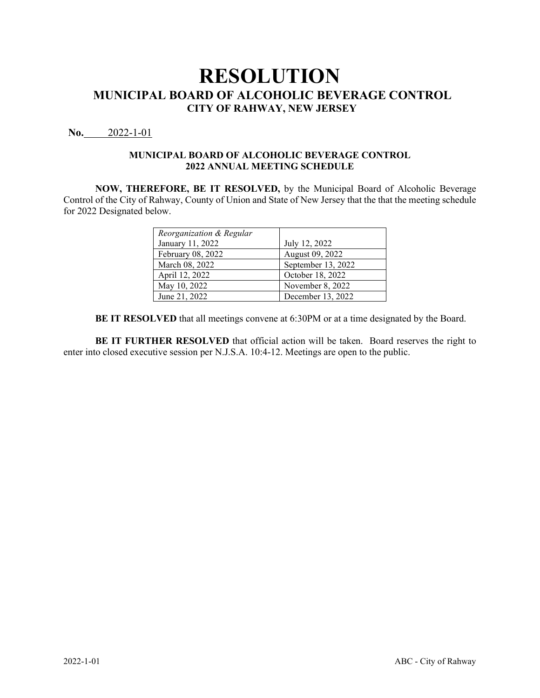## **No.** 2022-1-01

### **MUNICIPAL BOARD OF ALCOHOLIC BEVERAGE CONTROL 2022 ANNUAL MEETING SCHEDULE**

**NOW, THEREFORE, BE IT RESOLVED,** by the Municipal Board of Alcoholic Beverage Control of the City of Rahway, County of Union and State of New Jersey that the that the meeting schedule for 2022 Designated below.

| Reorganization & Regular |                    |
|--------------------------|--------------------|
| January 11, 2022         | July 12, 2022      |
| February 08, 2022        | August 09, 2022    |
| March 08, 2022           | September 13, 2022 |
| April 12, 2022           | October 18, 2022   |
| May 10, 2022             | November 8, 2022   |
| June 21, 2022            | December 13, 2022  |

**BE IT RESOLVED** that all meetings convene at 6:30PM or at a time designated by the Board.

**BE IT FURTHER RESOLVED** that official action will be taken. Board reserves the right to enter into closed executive session per N.J.S.A. 10:4-12. Meetings are open to the public.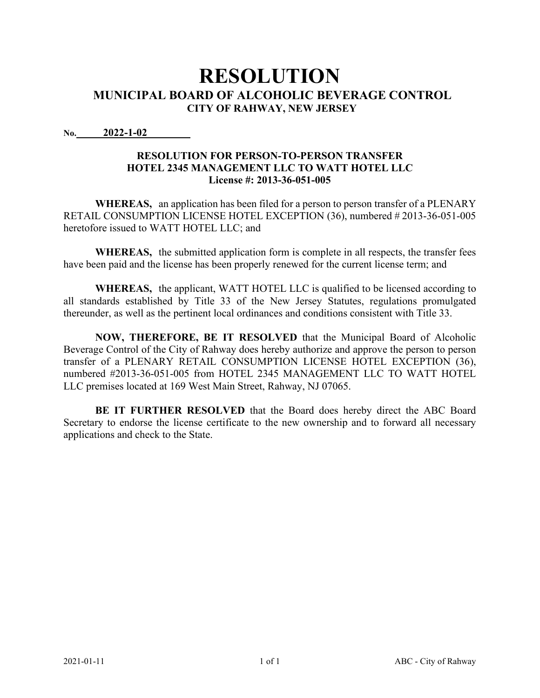**No. 2022-1-02 Date of Adoption:** December 14th, 2022-1-02

## **RESOLUTION FOR PERSON-TO-PERSON TRANSFER HOTEL 2345 MANAGEMENT LLC TO WATT HOTEL LLC License #: 2013-36-051-005**

**WHEREAS,** an application has been filed for a person to person transfer of a PLENARY RETAIL CONSUMPTION LICENSE HOTEL EXCEPTION (36), numbered # 2013-36-051-005 heretofore issued to WATT HOTEL LLC; and

**WHEREAS,** the submitted application form is complete in all respects, the transfer fees have been paid and the license has been properly renewed for the current license term; and

**WHEREAS,** the applicant, WATT HOTEL LLC is qualified to be licensed according to all standards established by Title 33 of the New Jersey Statutes, regulations promulgated thereunder, as well as the pertinent local ordinances and conditions consistent with Title 33.

**NOW, THEREFORE, BE IT RESOLVED** that the Municipal Board of Alcoholic Beverage Control of the City of Rahway does hereby authorize and approve the person to person transfer of a PLENARY RETAIL CONSUMPTION LICENSE HOTEL EXCEPTION (36), numbered #2013-36-051-005 from HOTEL 2345 MANAGEMENT LLC TO WATT HOTEL LLC premises located at 169 West Main Street, Rahway, NJ 07065.

**BE IT FURTHER RESOLVED** that the Board does hereby direct the ABC Board Secretary to endorse the license certificate to the new ownership and to forward all necessary applications and check to the State.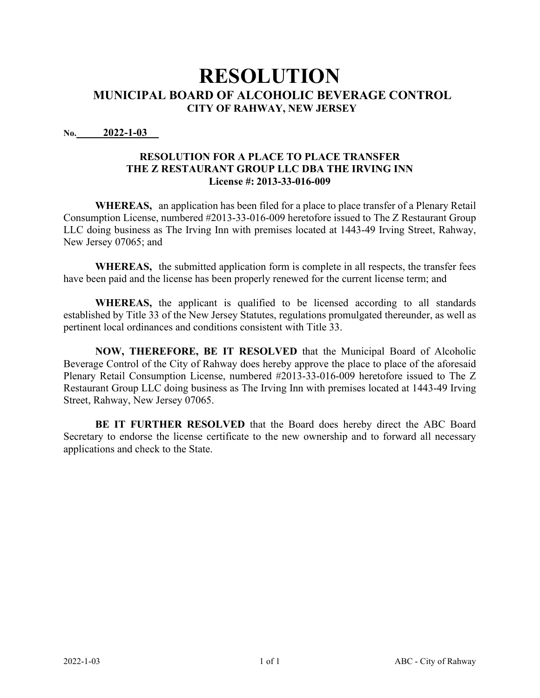**No. 2022-1-03**

## **RESOLUTION FOR A PLACE TO PLACE TRANSFER THE Z RESTAURANT GROUP LLC DBA THE IRVING INN License #: 2013-33-016-009**

**WHEREAS,** an application has been filed for a place to place transfer of a Plenary Retail Consumption License, numbered #2013-33-016-009 heretofore issued to The Z Restaurant Group LLC doing business as The Irving Inn with premises located at 1443-49 Irving Street, Rahway, New Jersey 07065; and

**WHEREAS,** the submitted application form is complete in all respects, the transfer fees have been paid and the license has been properly renewed for the current license term; and

**WHEREAS,** the applicant is qualified to be licensed according to all standards established by Title 33 of the New Jersey Statutes, regulations promulgated thereunder, as well as pertinent local ordinances and conditions consistent with Title 33.

**NOW, THEREFORE, BE IT RESOLVED** that the Municipal Board of Alcoholic Beverage Control of the City of Rahway does hereby approve the place to place of the aforesaid Plenary Retail Consumption License, numbered #2013-33-016-009 heretofore issued to The Z Restaurant Group LLC doing business as The Irving Inn with premises located at 1443-49 Irving Street, Rahway, New Jersey 07065.

**BE IT FURTHER RESOLVED** that the Board does hereby direct the ABC Board Secretary to endorse the license certificate to the new ownership and to forward all necessary applications and check to the State.